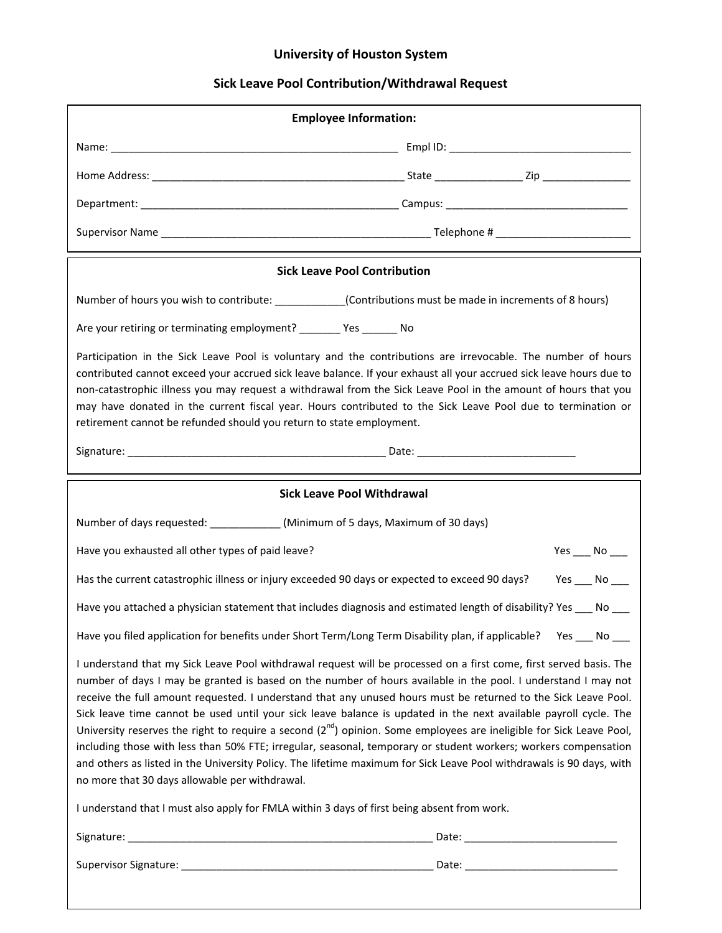## **University of Houston System**

## **Sick Leave Pool Contribution/Withdrawal Request**

| <b>Employee Information:</b>                                                                                                                                                                                                                                                                                                                                                                                                                                                                                                                                                                                                                                                                                                                                                                                                                                                                       |  |                      |  |
|----------------------------------------------------------------------------------------------------------------------------------------------------------------------------------------------------------------------------------------------------------------------------------------------------------------------------------------------------------------------------------------------------------------------------------------------------------------------------------------------------------------------------------------------------------------------------------------------------------------------------------------------------------------------------------------------------------------------------------------------------------------------------------------------------------------------------------------------------------------------------------------------------|--|----------------------|--|
|                                                                                                                                                                                                                                                                                                                                                                                                                                                                                                                                                                                                                                                                                                                                                                                                                                                                                                    |  |                      |  |
|                                                                                                                                                                                                                                                                                                                                                                                                                                                                                                                                                                                                                                                                                                                                                                                                                                                                                                    |  |                      |  |
|                                                                                                                                                                                                                                                                                                                                                                                                                                                                                                                                                                                                                                                                                                                                                                                                                                                                                                    |  |                      |  |
|                                                                                                                                                                                                                                                                                                                                                                                                                                                                                                                                                                                                                                                                                                                                                                                                                                                                                                    |  |                      |  |
| <b>Sick Leave Pool Contribution</b>                                                                                                                                                                                                                                                                                                                                                                                                                                                                                                                                                                                                                                                                                                                                                                                                                                                                |  |                      |  |
| Number of hours you wish to contribute: ____________(Contributions must be made in increments of 8 hours)                                                                                                                                                                                                                                                                                                                                                                                                                                                                                                                                                                                                                                                                                                                                                                                          |  |                      |  |
| Are your retiring or terminating employment? _______ Yes ______ No                                                                                                                                                                                                                                                                                                                                                                                                                                                                                                                                                                                                                                                                                                                                                                                                                                 |  |                      |  |
| Participation in the Sick Leave Pool is voluntary and the contributions are irrevocable. The number of hours<br>contributed cannot exceed your accrued sick leave balance. If your exhaust all your accrued sick leave hours due to<br>non-catastrophic illness you may request a withdrawal from the Sick Leave Pool in the amount of hours that you<br>may have donated in the current fiscal year. Hours contributed to the Sick Leave Pool due to termination or<br>retirement cannot be refunded should you return to state employment.                                                                                                                                                                                                                                                                                                                                                       |  |                      |  |
|                                                                                                                                                                                                                                                                                                                                                                                                                                                                                                                                                                                                                                                                                                                                                                                                                                                                                                    |  |                      |  |
| <b>Sick Leave Pool Withdrawal</b>                                                                                                                                                                                                                                                                                                                                                                                                                                                                                                                                                                                                                                                                                                                                                                                                                                                                  |  |                      |  |
| Number of days requested: ______________(Minimum of 5 days, Maximum of 30 days)                                                                                                                                                                                                                                                                                                                                                                                                                                                                                                                                                                                                                                                                                                                                                                                                                    |  |                      |  |
| Have you exhausted all other types of paid leave?                                                                                                                                                                                                                                                                                                                                                                                                                                                                                                                                                                                                                                                                                                                                                                                                                                                  |  | $Yes$ No ___         |  |
| Has the current catastrophic illness or injury exceeded 90 days or expected to exceed 90 days?                                                                                                                                                                                                                                                                                                                                                                                                                                                                                                                                                                                                                                                                                                                                                                                                     |  | Yes $\_\_$ No $\_\_$ |  |
| Have you attached a physician statement that includes diagnosis and estimated length of disability? Yes ___ No ___                                                                                                                                                                                                                                                                                                                                                                                                                                                                                                                                                                                                                                                                                                                                                                                 |  |                      |  |
| Have you filed application for benefits under Short Term/Long Term Disability plan, if applicable? Yes ___ No ___                                                                                                                                                                                                                                                                                                                                                                                                                                                                                                                                                                                                                                                                                                                                                                                  |  |                      |  |
| I understand that my Sick Leave Pool withdrawal request will be processed on a first come, first served basis. The<br>number of days I may be granted is based on the number of hours available in the pool. I understand I may not<br>receive the full amount requested. I understand that any unused hours must be returned to the Sick Leave Pool.<br>Sick leave time cannot be used until your sick leave balance is updated in the next available payroll cycle. The<br>University reserves the right to require a second $(2^{nd})$ opinion. Some employees are ineligible for Sick Leave Pool,<br>including those with less than 50% FTE; irregular, seasonal, temporary or student workers; workers compensation<br>and others as listed in the University Policy. The lifetime maximum for Sick Leave Pool withdrawals is 90 days, with<br>no more that 30 days allowable per withdrawal. |  |                      |  |
| I understand that I must also apply for FMLA within 3 days of first being absent from work.                                                                                                                                                                                                                                                                                                                                                                                                                                                                                                                                                                                                                                                                                                                                                                                                        |  |                      |  |
|                                                                                                                                                                                                                                                                                                                                                                                                                                                                                                                                                                                                                                                                                                                                                                                                                                                                                                    |  |                      |  |
|                                                                                                                                                                                                                                                                                                                                                                                                                                                                                                                                                                                                                                                                                                                                                                                                                                                                                                    |  |                      |  |
|                                                                                                                                                                                                                                                                                                                                                                                                                                                                                                                                                                                                                                                                                                                                                                                                                                                                                                    |  |                      |  |